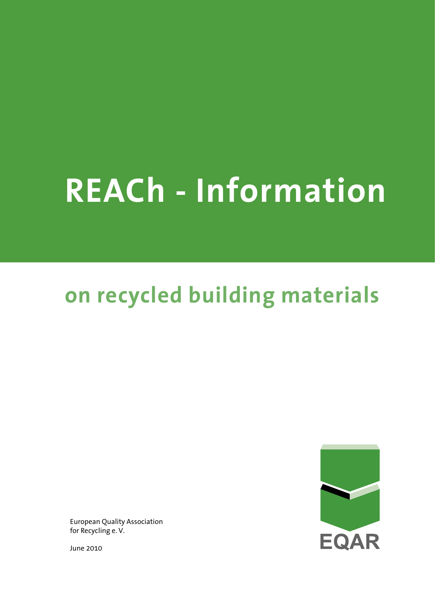# **REACh - Information**

## **on recycled building materials**

European Quality Association for Recycling e. V.

June 2010

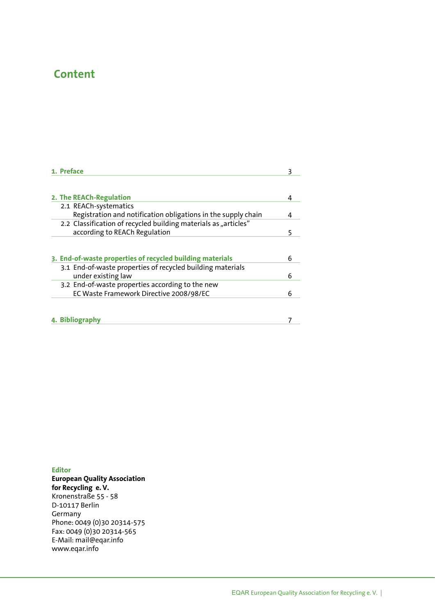### **Content**

| 1. Preface                                                      | З |
|-----------------------------------------------------------------|---|
|                                                                 |   |
| 2. The REACh-Regulation                                         | 4 |
| 2.1 REACh-systematics                                           |   |
| Registration and notification obligations in the supply chain   | 4 |
| 2.2 Classification of recycled building materials as "articles" |   |
| according to REACh Regulation                                   | 5 |
| 3. End-of-waste properties of recycled building materials       | 6 |
| 3.1 End-of-waste properties of recycled building materials      |   |
| under existing law                                              | 6 |
| 3.2 End-of-waste properties according to the new                |   |
| EC Waste Framework Directive 2008/98/EC                         | 6 |
|                                                                 |   |
| 4. Bibliography                                                 |   |

**Editor European Quality Association for Recycling e. V.** Kronenstraße 55 - 58 D-10117 Berlin Germany Phone: 0049 (0)30 20314-575 Fax: 0049 (0)30 20314-565 E-Mail: mail@eqar.info www.eqar.info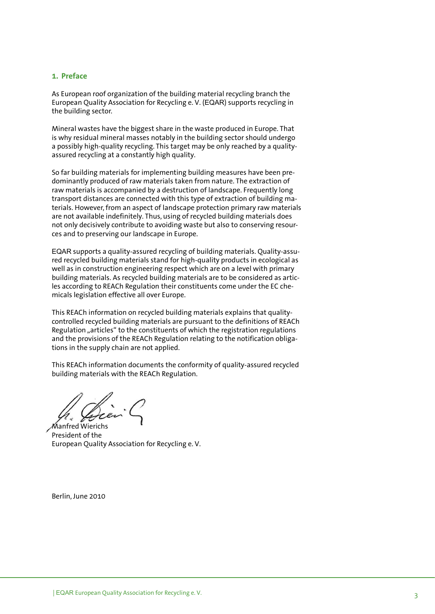#### **1. Preface**

As European roof organization of the building material recycling branch the European Quality Association for Recycling e. V. (EQAR) supports recycling in the building sector.

Mineral wastes have the biggest share in the waste produced in Europe. That is why residual mineral masses notably in the building sector should undergo a possibly high-quality recycling. This target may be only reached by a qualityassured recycling at a constantly high quality.

So far building materials for implementing building measures have been predominantly produced of raw materials taken from nature. The extraction of raw materials is accompanied by a destruction of landscape. Frequently long transport distances are connected with this type of extraction of building materials. However, from an aspect of landscape protection primary raw materials are not available indefinitely. Thus, using of recycled building materials does not only decisively contribute to avoiding waste but also to conserving resources and to preserving our landscape in Europe.

EQAR supports a quality-assured recycling of building materials. Quality-assured recycled building materials stand for high-quality products in ecological as well as in construction engineering respect which are on a level with primary building materials. As recycled building materials are to be considered as articles according to REACh Regulation their constituents come under the EC chemicals legislation effective all over Europe.

This REACh information on recycled building materials explains that qualitycontrolled recycled building materials are pursuant to the definitions of REACh Regulation "articles" to the constituents of which the registration regulations and the provisions of the REACh Regulation relating to the notification obligations in the supply chain are not applied.

This REACh information documents the conformity of quality-assured recycled building materials with the REACh Regulation.

Manfred Wierichs

President of the European Quality Association for Recycling e. V.

Berlin, June 2010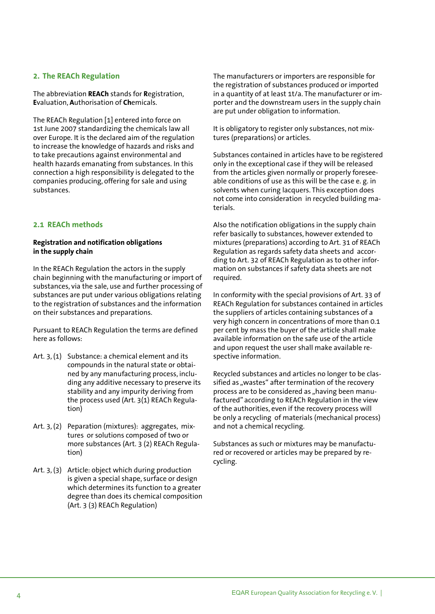#### **2. The REACh Regulation**

The abbreviation **REACh** stands for **R**egistration, **E**valuation, **A**uthorisation of **Ch**emicals.

The REACh Regulation [1] entered into force on 1st June 2007 standardizing the chemicals law all over Europe. It is the declared aim of the regulation to increase the knowledge of hazards and risks and to take precautions against environmental and health hazards emanating from substances. In this connection a high responsibility is delegated to the companies producing, offering for sale and using substances.

#### **2.1 REACh methods**

#### **Registration and notification obligations in the supply chain**

In the REACh Regulation the actors in the supply chain beginning with the manufacturing or import of substances, via the sale, use and further processing of substances are put under various obligations relating to the registration of substances and the information on their substances and preparations.

Pursuant to REACh Regulation the terms are defined here as follows:

- Art. 3, (1) Substance: a chemical element and its compounds in the natural state or obtai ned by any manufacturing process, inclu ding any additive necessary to preserve its stability and any impurity deriving from the process used (Art. 3(1) REACh Regula tion)
- Art. 3, (2) Peparation (mixtures): aggregates, mix tures or solutions composed of two or more substances (Art. 3 (2) REACh Regula tion)
- Art. 3, (3) Article: object which during production is given a special shape, surface or design which determines its function to a greater degree than does its chemical composition (Art. 3 (3) REACh Regulation)

The manufacturers or importers are responsible for the registration of substances produced or imported in a quantity of at least 1t/a. The manufacturer or importer and the downstream users in the supply chain are put under obligation to information.

It is obligatory to register only substances, not mixtures (preparations) or articles.

Substances contained in articles have to be registered only in the exceptional case if they will be released from the articles given normally or properly foreseeable conditions of use as this will be the case e. g. in solvents when curing lacquers. This exception does not come into consideration in recycled building materials.

Also the notification obligations in the supply chain refer basically to substances, however extended to mixtures (preparations) according to Art. 31 of REACh Regulation as regards safety data sheets and according to Art. 32 of REACh Regulation as to other information on substances if safety data sheets are not required.

In conformity with the special provisions of Art. 33 of REACh Regulation for substances contained in articles the suppliers of articles containing substances of a very high concern in concentrations of more than 0.1 per cent by mass the buyer of the article shall make available information on the safe use of the article and upon request the user shall make available respective information.

Recycled substances and articles no longer to be classified as "wastes" after termination of the recovery process are to be considered as "having been manufactured" according to REACh Regulation in the view of the authorities, even if the recovery process will be only a recycling of materials (mechanical process) and not a chemical recycling.

Substances as such or mixtures may be manufactured or recovered or articles may be prepared by recycling.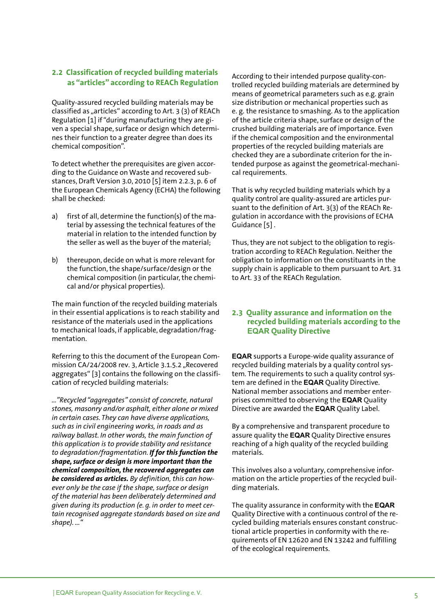#### **2.2 Classification of recycled building materials as "articles" according to REACh Regulation**

Quality-assured recycled building materials may be classified as "articles" according to Art. 3 (3) of REACh Regulation [1] if "during manufacturing they are given a special shape, surface or design which determines their function to a greater degree than does its chemical composition".

To detect whether the prerequisites are given according to the Guidance on Waste and recovered substances, Draft Version 3.0, 2010 [5] item 2.2.3, p. 6 of the European Chemicals Agency (ECHA) the following shall be checked:

- a) first of all, determine the function(s) of the ma terial by assessing the technical features of the material in relation to the intended function by the seller as well as the buyer of the material;
- b) thereupon, decide on what is more relevant for the function, the shape/surface/design or the chemical composition (in particular, the chemi cal and/or physical properties).

The main function of the recycled building materials in their essential applications is to reach stability and resistance of the materials used in the applications to mechanical loads, if applicable, degradation/fragmentation.

Referring to this the document of the European Commission CA/24/2008 rev. 3. Article 3.1.5.2 "Recovered aggregates" [3] contains the following on the classification of recycled building materials:

*…"Recycled "aggregates" consist of concrete, natural stones, masonry and/or asphalt, either alone or mixed in certain cases. They can have diverse applications, such as in civil engineering works, in roads and as railway ballast. In other words, the main function of this application is to provide stability and resistance to degradation/fragmentation. If for this function the shape, surface or design is more important than the chemical composition, the recovered aggregates can be considered as articles. By definition, this can however only be the case if the shape, surface or design of the material has been deliberately determined and given during its production (e. g. in order to meet certain recognised aggregate standards based on size and shape). ..."* 

According to their intended purpose quality-controlled recycled building materials are determined by means of geometrical parameters such as e.g. grain size distribution or mechanical properties such as e. g. the resistance to smashing. As to the application of the article criteria shape, surface or design of the crushed building materials are of importance. Even if the chemical composition and the environmental properties of the recycled building materials are checked they are a subordinate criterion for the intended purpose as against the geometrical-mechanical requirements.

That is why recycled building materials which by a quality control are quality-assured are articles pursuant to the definition of Art. 3(3) of the REACh Regulation in accordance with the provisions of ECHA Guidance [5] .

Thus, they are not subject to the obligation to registration according to REACh Regulation. Neither the obligation to information on the constituants in the supply chain is applicable to them pursuant to Art. 31 to Art. 33 of the REACh Regulation.

#### **2.3 Quality assurance and information on the recycled building materials according to the EQAR Quality Directive**

**EQAR** supports a Europe-wide quality assurance of recycled building materials by a quality control system. The requirements to such a quality control system are defined in the **EQAR** Quality Directive. National member associations and member enterprises committed to observing the **EQAR** Quality Directive are awarded the **EQAR** Quality Label.

By a comprehensive and transparent procedure to assure quality the **EQAR** Quality Directive ensures reaching of a high quality of the recycled building materials.

This involves also a voluntary, comprehensive information on the article properties of the recycled building materials.

The quality assurance in conformity with the **EQAR**  Quality Directive with a continuous control of the recycled building materials ensures constant constructional article properties in conformity with the requirements of EN 12620 and EN 13242 and fulfilling of the ecological requirements.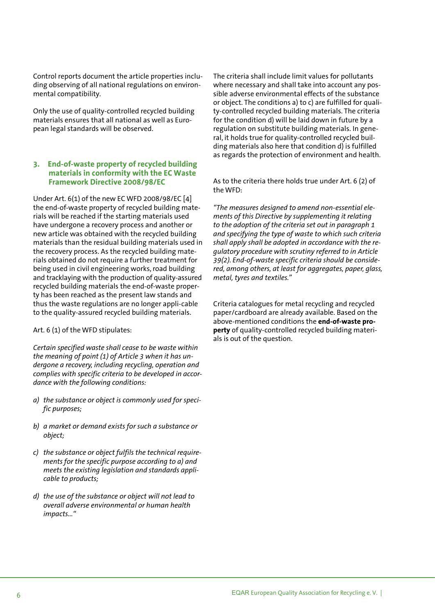Control reports document the article properties including observing of all national regulations on environmental compatibility.

Only the use of quality-controlled recycled building materials ensures that all national as well as European legal standards will be observed.

#### **3. End-of-waste property of recycled building materials in conformity with the EC Waste Framework Directive 2008/98/EC**

Under Art. 6(1) of the new EC WFD 2008/98/EC [4] the end-of-waste property of recycled building materials will be reached if the starting materials used have undergone a recovery process and another or new article was obtained with the recycled building materials than the residual building materials used in the recovery process. As the recycled building materials obtained do not require a further treatment for being used in civil engineering works, road building and tracklaying with the production of quality-assured recycled building materials the end-of-waste property has been reached as the present law stands and thus the waste regulations are no longer appli-cable to the quality-assured recycled building materials.

Art. 6 (1) of the WFD stipulates:

*Certain specified waste shall cease to be waste within the meaning of point (1) of Article 3 when it has undergone a recovery, including recycling, operation and complies with specific criteria to be developed in accordance with the following conditions:*

- *a) the substance or object is commonly used for speci fic purposes;*
- *b) a market or demand exists for such a substance or object;*
- *c) the substance or object fulfils the technical require ments for the specific purpose according to a) and meets the existing legislation and standards appli cable to products;*
- *d) the use of the substance or object will not lead to overall adverse environmental or human health impacts..."*

The criteria shall include limit values for pollutants where necessary and shall take into account any possible adverse environmental effects of the substance or object. The conditions a) to c) are fulfilled for quality-controlled recycled building materials. The criteria for the condition d) will be laid down in future by a regulation on substitute building materials. In general, it holds true for quality-controlled recycled building materials also here that condition d) is fulfilled as regards the protection of environment and health.

As to the criteria there holds true under Art. 6 (2) of the WFD:

*"The measures designed to amend non-essential elements of this Directive by supplementing it relating to the adoption of the criteria set out in paragraph 1 and specifying the type of waste to which such criteria shall apply shall be adopted in accordance with the regulatory procedure with scrutiny referred to in Article 39(2). End-of-waste specific criteria should be considered, among others, at least for aggregates, paper, glass, metal, tyres and textiles."*

Criteria catalogues for metal recycling and recycled paper/cardboard are already available. Based on the above-mentioned conditions the **end-of-waste property** of quality-controlled recycled building materials is out of the question.